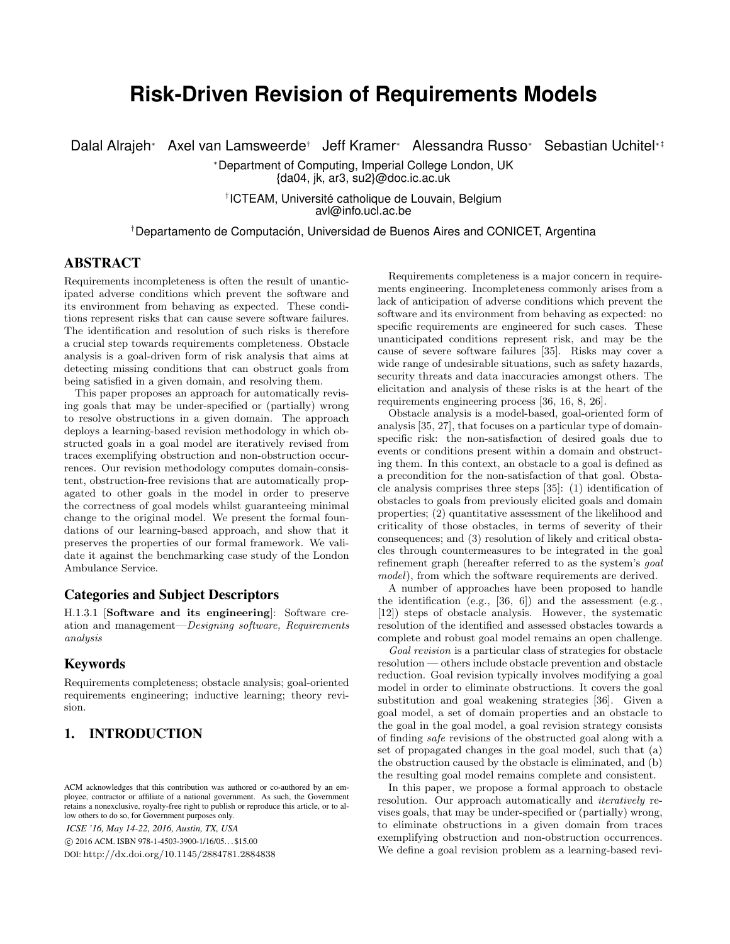# **Risk-Driven Revision of Requirements Models**

Dalal Alrajeh<sup>∗</sup> Axel van Lamsweerde† Jeff Kramer<sup>∗</sup> Alessandra Russo<sup>∗</sup> Sebastian Uchitel∗‡

<sup>∗</sup>Department of Computing, Imperial College London, UK {da04, jk, ar3, su2}@doc.ic.ac.uk

† ICTEAM, Université catholique de Louvain, Belgium avl@info.ucl.ac.be

†Departamento de Computación, Universidad de Buenos Aires and CONICET, Argentina

# ABSTRACT

Requirements incompleteness is often the result of unanticipated adverse conditions which prevent the software and its environment from behaving as expected. These conditions represent risks that can cause severe software failures. The identification and resolution of such risks is therefore a crucial step towards requirements completeness. Obstacle analysis is a goal-driven form of risk analysis that aims at detecting missing conditions that can obstruct goals from being satisfied in a given domain, and resolving them.

This paper proposes an approach for automatically revising goals that may be under-specified or (partially) wrong to resolve obstructions in a given domain. The approach deploys a learning-based revision methodology in which obstructed goals in a goal model are iteratively revised from traces exemplifying obstruction and non-obstruction occurrences. Our revision methodology computes domain-consistent, obstruction-free revisions that are automatically propagated to other goals in the model in order to preserve the correctness of goal models whilst guaranteeing minimal change to the original model. We present the formal foundations of our learning-based approach, and show that it preserves the properties of our formal framework. We validate it against the benchmarking case study of the London Ambulance Service.

## Categories and Subject Descriptors

H.1.3.1 [Software and its engineering]: Software creation and management—Designing software, Requirements analysis

# Keywords

Requirements completeness; obstacle analysis; goal-oriented requirements engineering; inductive learning; theory revision.

# 1. INTRODUCTION

*ICSE '16, May 14-22, 2016, Austin, TX, USA*

c 2016 ACM. ISBN 978-1-4503-3900-1/16/05. . . \$15.00

DOI: http://dx.doi.org/10.1145/2884781.2884838

Requirements completeness is a major concern in requirements engineering. Incompleteness commonly arises from a lack of anticipation of adverse conditions which prevent the software and its environment from behaving as expected: no specific requirements are engineered for such cases. These unanticipated conditions represent risk, and may be the cause of severe software failures [35]. Risks may cover a wide range of undesirable situations, such as safety hazards, security threats and data inaccuracies amongst others. The elicitation and analysis of these risks is at the heart of the requirements engineering process [36, 16, 8, 26].

Obstacle analysis is a model-based, goal-oriented form of analysis [35, 27], that focuses on a particular type of domainspecific risk: the non-satisfaction of desired goals due to events or conditions present within a domain and obstructing them. In this context, an obstacle to a goal is defined as a precondition for the non-satisfaction of that goal. Obstacle analysis comprises three steps [35]: (1) identification of obstacles to goals from previously elicited goals and domain properties; (2) quantitative assessment of the likelihood and criticality of those obstacles, in terms of severity of their consequences; and (3) resolution of likely and critical obstacles through countermeasures to be integrated in the goal refinement graph (hereafter referred to as the system's goal model), from which the software requirements are derived.

A number of approaches have been proposed to handle the identification (e.g., [36, 6]) and the assessment (e.g., [12]) steps of obstacle analysis. However, the systematic resolution of the identified and assessed obstacles towards a complete and robust goal model remains an open challenge.

Goal revision is a particular class of strategies for obstacle resolution — others include obstacle prevention and obstacle reduction. Goal revision typically involves modifying a goal model in order to eliminate obstructions. It covers the goal substitution and goal weakening strategies [36]. Given a goal model, a set of domain properties and an obstacle to the goal in the goal model, a goal revision strategy consists of finding safe revisions of the obstructed goal along with a set of propagated changes in the goal model, such that (a) the obstruction caused by the obstacle is eliminated, and (b) the resulting goal model remains complete and consistent.

In this paper, we propose a formal approach to obstacle resolution. Our approach automatically and iteratively revises goals, that may be under-specified or (partially) wrong, to eliminate obstructions in a given domain from traces exemplifying obstruction and non-obstruction occurrences. We define a goal revision problem as a learning-based revi-

ACM acknowledges that this contribution was authored or co-authored by an employee, contractor or affiliate of a national government. As such, the Government retains a nonexclusive, royalty-free right to publish or reproduce this article, or to allow others to do so, for Government purposes only.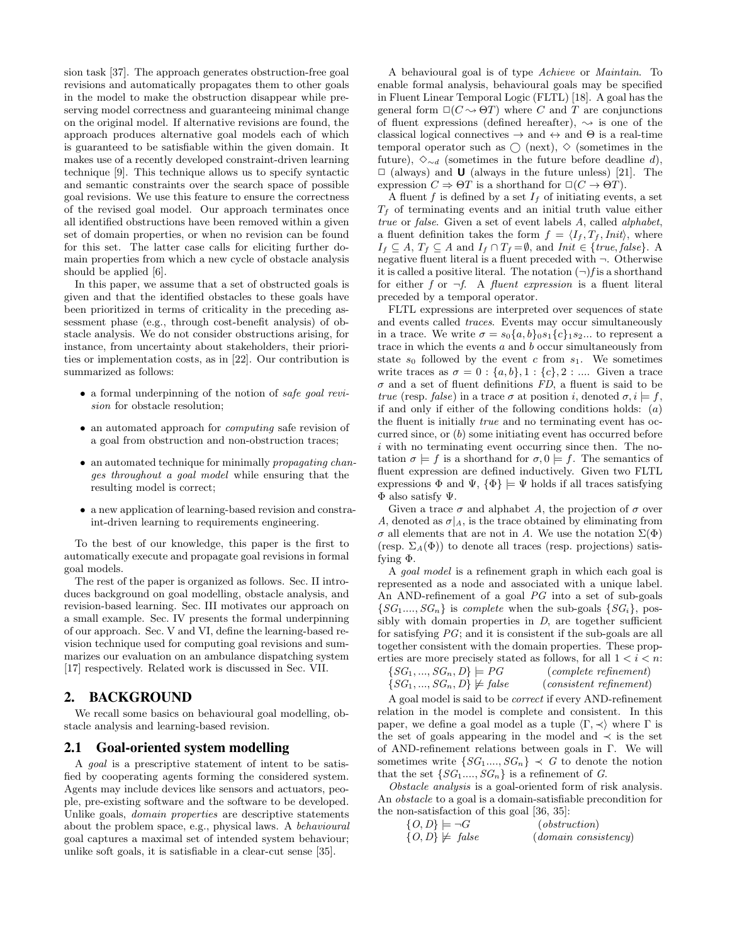sion task [37]. The approach generates obstruction-free goal revisions and automatically propagates them to other goals in the model to make the obstruction disappear while preserving model correctness and guaranteeing minimal change on the original model. If alternative revisions are found, the approach produces alternative goal models each of which is guaranteed to be satisfiable within the given domain. It makes use of a recently developed constraint-driven learning technique [9]. This technique allows us to specify syntactic and semantic constraints over the search space of possible goal revisions. We use this feature to ensure the correctness of the revised goal model. Our approach terminates once all identified obstructions have been removed within a given set of domain properties, or when no revision can be found for this set. The latter case calls for eliciting further domain properties from which a new cycle of obstacle analysis should be applied [6].

In this paper, we assume that a set of obstructed goals is given and that the identified obstacles to these goals have been prioritized in terms of criticality in the preceding assessment phase (e.g., through cost-benefit analysis) of obstacle analysis. We do not consider obstructions arising, for instance, from uncertainty about stakeholders, their priorities or implementation costs, as in [22]. Our contribution is summarized as follows:

- a formal underpinning of the notion of safe goal revision for obstacle resolution;
- an automated approach for *computing* safe revision of a goal from obstruction and non-obstruction traces;
- an automated technique for minimally *propagating chan*ges throughout a goal model while ensuring that the resulting model is correct;
- a new application of learning-based revision and constraint-driven learning to requirements engineering.

To the best of our knowledge, this paper is the first to automatically execute and propagate goal revisions in formal goal models.

The rest of the paper is organized as follows. Sec. II introduces background on goal modelling, obstacle analysis, and revision-based learning. Sec. III motivates our approach on a small example. Sec. IV presents the formal underpinning of our approach. Sec. V and VI, define the learning-based revision technique used for computing goal revisions and summarizes our evaluation on an ambulance dispatching system [17] respectively. Related work is discussed in Sec. VII.

# 2. BACKGROUND

We recall some basics on behavioural goal modelling, obstacle analysis and learning-based revision.

#### 2.1 Goal-oriented system modelling

A goal is a prescriptive statement of intent to be satisfied by cooperating agents forming the considered system. Agents may include devices like sensors and actuators, people, pre-existing software and the software to be developed. Unlike goals, domain properties are descriptive statements about the problem space, e.g., physical laws. A behavioural goal captures a maximal set of intended system behaviour; unlike soft goals, it is satisfiable in a clear-cut sense [35].

A behavioural goal is of type Achieve or Maintain. To enable formal analysis, behavioural goals may be specified in Fluent Linear Temporal Logic (FLTL) [18]. A goal has the general form  $\square(C \leadsto \Theta T)$  where C and T are conjunctions of fluent expressions (defined hereafter),  $\sim$  is one of the classical logical connectives  $\rightarrow$  and  $\leftrightarrow$  and  $\Theta$  is a real-time temporal operator such as  $\bigcap$  (next),  $\Diamond$  (sometimes in the future),  $\diamond_{\sim d}$  (sometimes in the future before deadline d),  $\Box$  (always) and **U** (always in the future unless) [21]. The expression  $C \Rightarrow \Theta T$  is a shorthand for  $\square (C \rightarrow \Theta T)$ .

A fluent f is defined by a set  $I_f$  of initiating events, a set  $T_f$  of terminating events and an initial truth value either true or false. Given a set of event labels A, called alphabet, a fluent definition takes the form  $f = \langle I_f, T_f,Init \rangle$ , where  $I_f \subseteq A$ ,  $T_f \subseteq A$  and  $I_f \cap T_f = \emptyset$ , and  $Init \in \{true, false\}$ . A negative fluent literal is a fluent preceded with  $\neg$ . Otherwise it is called a positive literal. The notation  $(\neg)f$  is a shorthand for either  $f$  or  $\neg f$ . A *fluent expression* is a fluent literal preceded by a temporal operator.

FLTL expressions are interpreted over sequences of state and events called traces. Events may occur simultaneously in a trace. We write  $\sigma = s_0\{a, b\}$ <sub>0</sub>s<sub>1</sub>{c}<sub>1</sub>s<sub>2</sub>... to represent a trace in which the events a and b occur simultaneously from state  $s_0$  followed by the event c from  $s_1$ . We sometimes write traces as  $\sigma = 0$ :  $\{a, b\}, 1$ :  $\{c\}, 2$ : .... Given a trace  $\sigma$  and a set of fluent definitions FD, a fluent is said to be true (resp. false) in a trace  $\sigma$  at position i, denoted  $\sigma, i \models f$ . if and only if either of the following conditions holds:  $(a)$ the fluent is initially true and no terminating event has occurred since, or (b) some initiating event has occurred before  $i$  with no terminating event occurring since then. The notation  $\sigma \models f$  is a shorthand for  $\sigma, 0 \models f$ . The semantics of fluent expression are defined inductively. Given two FLTL expressions  $\Phi$  and  $\Psi$ ,  $\{\Phi\} \models \Psi$  holds if all traces satisfying Φ also satisfy Ψ.

Given a trace  $\sigma$  and alphabet A, the projection of  $\sigma$  over A, denoted as  $\sigma|_A$ , is the trace obtained by eliminating from σ all elements that are not in A. We use the notation Σ(Φ) (resp.  $\Sigma_A(\Phi)$ ) to denote all traces (resp. projections) satisfying Φ.

A goal model is a refinement graph in which each goal is represented as a node and associated with a unique label. An AND-refinement of a goal PG into a set of sub-goals  $\{SG_1, \ldots, SG_n\}$  is *complete* when the sub-goals  $\{SG_i\}$ , possibly with domain properties in  $D$ , are together sufficient for satisfying PG; and it is consistent if the sub-goals are all together consistent with the domain properties. These properties are more precisely stated as follows, for all  $1 < i < n$ :<br> $\{SG_1, ..., SG_n, D\} \models PG$  (complete refinement)

| $\{SG_1, , SG_n, D\} \models PG$ | $(complete \ refinement)$        |
|----------------------------------|----------------------------------|
| $\{SG_1, , SG_n, D\} \neq false$ | ( <i>consistent refinement</i> ) |

A goal model is said to be correct if every AND-refinement relation in the model is complete and consistent. In this paper, we define a goal model as a tuple  $\langle \Gamma, \prec \rangle$  where  $\Gamma$  is the set of goals appearing in the model and  $\prec$  is the set of AND-refinement relations between goals in Γ. We will sometimes write  $\{SG_1, ..., SG_n\} \prec G$  to denote the notion that the set  $\{SG_1, ..., SG_n\}$  is a refinement of G.

Obstacle analysis is a goal-oriented form of risk analysis. An obstacle to a goal is a domain-satisfiable precondition for the non-satisfaction of this goal [36, 35]:

| $\{O, D\} \models \neg G$    | (obstruction)           |
|------------------------------|-------------------------|
| $\{O, D\} \not\models false$ | $(domain\ consistency)$ |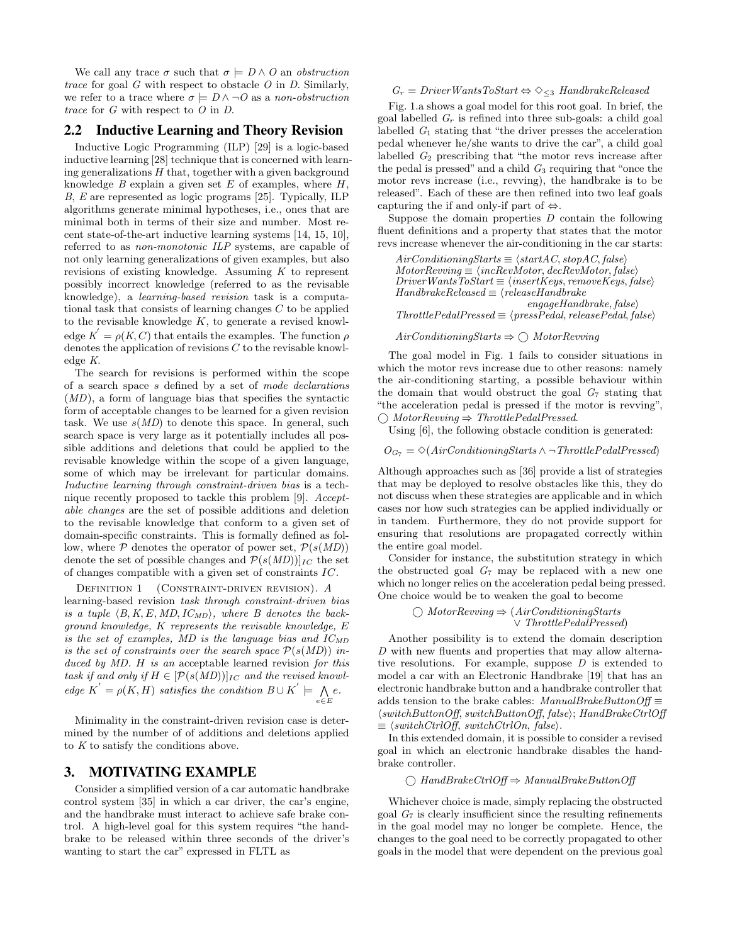We call any trace  $\sigma$  such that  $\sigma \models D \land O$  an *obstruction* trace for goal  $G$  with respect to obstacle  $O$  in  $D$ . Similarly, we refer to a trace where  $\sigma \models D \land \neg O$  as a non-obstruction trace for G with respect to O in D.

# 2.2 Inductive Learning and Theory Revision

Inductive Logic Programming (ILP) [29] is a logic-based inductive learning [28] technique that is concerned with learning generalizations  $H$  that, together with a given background knowledge  $B$  explain a given set  $E$  of examples, where  $H$ , B, E are represented as logic programs [25]. Typically, ILP algorithms generate minimal hypotheses, i.e., ones that are minimal both in terms of their size and number. Most recent state-of-the-art inductive learning systems [14, 15, 10], referred to as non-monotonic ILP systems, are capable of not only learning generalizations of given examples, but also revisions of existing knowledge. Assuming  $K$  to represent possibly incorrect knowledge (referred to as the revisable knowledge), a learning-based revision task is a computational task that consists of learning changes  $C$  to be applied to the revisable knowledge  $K$ , to generate a revised knowledge  $K' = \rho(K, C)$  that entails the examples. The function  $\rho$ denotes the application of revisions  $C$  to the revisable knowledge K.

The search for revisions is performed within the scope of a search space s defined by a set of mode declarations (MD), a form of language bias that specifies the syntactic form of acceptable changes to be learned for a given revision task. We use  $s(MD)$  to denote this space. In general, such search space is very large as it potentially includes all possible additions and deletions that could be applied to the revisable knowledge within the scope of a given language, some of which may be irrelevant for particular domains. Inductive learning through constraint-driven bias is a technique recently proposed to tackle this problem [9]. Acceptable changes are the set of possible additions and deletion to the revisable knowledge that conform to a given set of domain-specific constraints. This is formally defined as follow, where  $P$  denotes the operator of power set,  $P(s(MD))$ denote the set of possible changes and  $\mathcal{P}(s(MD))|_{IC}$  the set of changes compatible with a given set of constraints IC.

DEFINITION 1 (CONSTRAINT-DRIVEN REVISION). A learning-based revision task through constraint-driven bias is a tuple  $\langle B, K, E, MD, IC_{MD} \rangle$ , where B denotes the background knowledge, K represents the revisable knowledge, E is the set of examples, MD is the language bias and  $IC_{MD}$ is the set of constraints over the search space  $\mathcal{P}(s(MD))$  induced by  $MD.$  H is an acceptable learned revision for this task if and only if  $H \in [\mathcal{P}(s(MD))]_{IC}$  and the revised knowledge  $K^{'} = \rho(K, H)$  satisfies the condition  $B \cup K^{'} \models \bigwedge e$ . e∈E

Minimality in the constraint-driven revision case is determined by the number of of additions and deletions applied to K to satisfy the conditions above.

# 3. MOTIVATING EXAMPLE

Consider a simplified version of a car automatic handbrake control system [35] in which a car driver, the car's engine, and the handbrake must interact to achieve safe brake control. A high-level goal for this system requires "the handbrake to be released within three seconds of the driver's wanting to start the car" expressed in FLTL as

# $G_r = \textit{DirectWantsToStart} \Leftrightarrow \Diamond_{\leq 3}\ \textit{HandbrakeReleased}$

Fig. 1.a shows a goal model for this root goal. In brief, the goal labelled  $G_r$  is refined into three sub-goals: a child goal labelled  $G_1$  stating that "the driver presses the acceleration" pedal whenever he/she wants to drive the car", a child goal labelled G<sup>2</sup> prescribing that "the motor revs increase after the pedal is pressed" and a child  $G_3$  requiring that "once the motor revs increase (i.e., revving), the handbrake is to be released". Each of these are then refined into two leaf goals capturing the if and only-if part of  $\Leftrightarrow$ .

Suppose the domain properties  $D$  contain the following fluent definitions and a property that states that the motor revs increase whenever the air-conditioning in the car starts:

 $AirConditioningStarts \equiv \langle startAC, stopAC, false \rangle$  $MotorReiving \equiv \langle incRevMotor, decRevMotor, false \rangle$  $DriverWantsToStart \equiv \langle insertKeys, removeKeys, false \rangle$  $Handbrake Releaseed \equiv \langle releaseHandbrake$  $enqageHandbrake, false$  $ThrottlePedalPressed \equiv \langle pressPedal, releasePedal, false \rangle$ 

 $AirConditioningStarts \Rightarrow \bigcap MotorRewing$ 

The goal model in Fig. 1 fails to consider situations in which the motor revs increase due to other reasons: namely the air-conditioning starting, a possible behaviour within the domain that would obstruct the goal  $G<sub>7</sub>$  stating that "the acceleration pedal is pressed if the motor is revving",  $\bigcap$  MotorRevving  $\Rightarrow$  ThrottlePedalPressed.

Using [6], the following obstacle condition is generated:

 $O_{G_7} = \diamond (AirConditioningStats \wedge \neg ThrottlePedalPressed)$ 

Although approaches such as [36] provide a list of strategies that may be deployed to resolve obstacles like this, they do not discuss when these strategies are applicable and in which cases nor how such strategies can be applied individually or in tandem. Furthermore, they do not provide support for ensuring that resolutions are propagated correctly within the entire goal model.

Consider for instance, the substitution strategy in which the obstructed goal  $G_7$  may be replaced with a new one which no longer relies on the acceleration pedal being pressed. One choice would be to weaken the goal to become

$$
\bigcirc \; MotorRewing \Rightarrow (AirConditioningStats \newline \lor \; ThrottlePedalPressed)
$$

Another possibility is to extend the domain description D with new fluents and properties that may allow alternative resolutions. For example, suppose D is extended to model a car with an Electronic Handbrake [19] that has an electronic handbrake button and a handbrake controller that adds tension to the brake cables: ManualBrakeButtonOff  $\equiv$  $\langle switchButtonOff, switchButtonOff, false \rangle; HandBrakeCtrlOff$  $\equiv$   $\langle switchCtrlOff, switchCtrlOn, false \rangle$ .

In this extended domain, it is possible to consider a revised goal in which an electronic handbrake disables the handbrake controller.

#### $\bigcap$  HandBrakeCtrlOff  $\Rightarrow$  ManualBrakeButtonOff

Whichever choice is made, simply replacing the obstructed goal  $G<sub>7</sub>$  is clearly insufficient since the resulting refinements in the goal model may no longer be complete. Hence, the changes to the goal need to be correctly propagated to other goals in the model that were dependent on the previous goal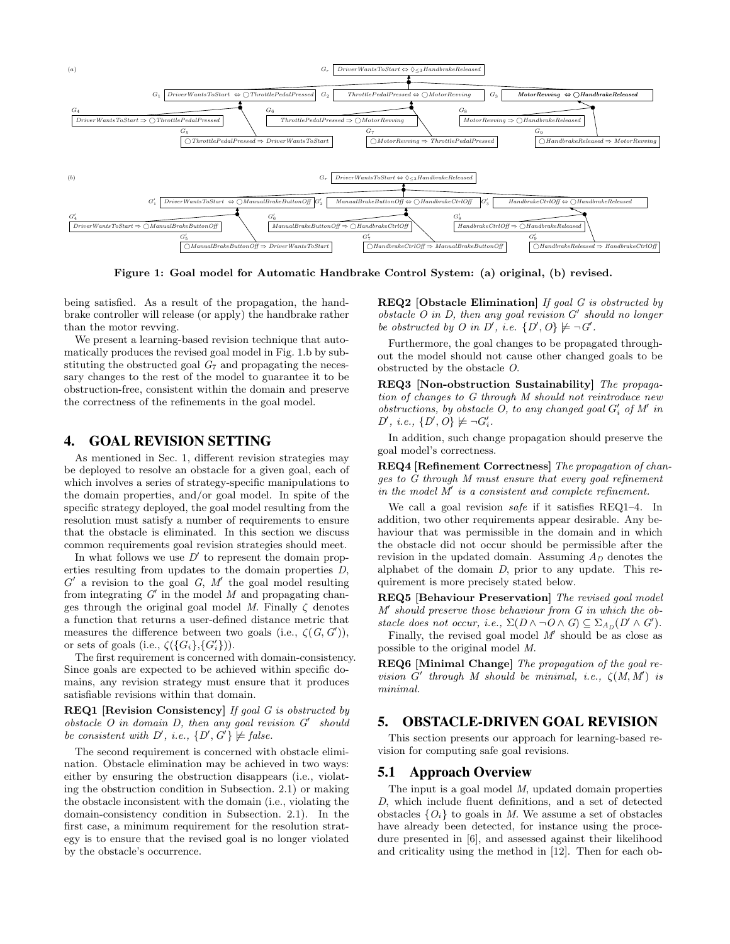

Figure 1: Goal model for Automatic Handbrake Control System: (a) original, (b) revised.

being satisfied. As a result of the propagation, the handbrake controller will release (or apply) the handbrake rather than the motor revving.

We present a learning-based revision technique that automatically produces the revised goal model in Fig. 1.b by substituting the obstructed goal  $G<sub>7</sub>$  and propagating the necessary changes to the rest of the model to guarantee it to be obstruction-free, consistent within the domain and preserve the correctness of the refinements in the goal model.

# 4. GOAL REVISION SETTING

As mentioned in Sec. 1, different revision strategies may be deployed to resolve an obstacle for a given goal, each of which involves a series of strategy-specific manipulations to the domain properties, and/or goal model. In spite of the specific strategy deployed, the goal model resulting from the resolution must satisfy a number of requirements to ensure that the obstacle is eliminated. In this section we discuss common requirements goal revision strategies should meet.

In what follows we use  $D'$  to represent the domain properties resulting from updates to the domain properties D,  $G'$  a revision to the goal  $G, M'$  the goal model resulting from integrating  $G'$  in the model  $M$  and propagating changes through the original goal model M. Finally  $\zeta$  denotes a function that returns a user-defined distance metric that measures the difference between two goals (i.e.,  $\zeta(G, G')$ ), or sets of goals (i.e.,  $\zeta(\lbrace G_i \rbrace, \lbrace G'_i \rbrace)$ ).

The first requirement is concerned with domain-consistency. Since goals are expected to be achieved within specific domains, any revision strategy must ensure that it produces satisfiable revisions within that domain.

REQ1 [Revision Consistency] If goal G is obstructed by  $obstack C$  in domain D, then any goal revision  $G'$  should be consistent with D', i.e.,  $\{D', G'\} \not\models \text{false.}$ 

The second requirement is concerned with obstacle elimination. Obstacle elimination may be achieved in two ways: either by ensuring the obstruction disappears (i.e., violating the obstruction condition in Subsection. 2.1) or making the obstacle inconsistent with the domain (i.e., violating the domain-consistency condition in Subsection. 2.1). In the first case, a minimum requirement for the resolution strategy is to ensure that the revised goal is no longer violated by the obstacle's occurrence.

REQ2 [Obstacle Elimination] If goal G is obstructed by  $obstacle$   $O$  in  $D$ , then any goal revision  $G'$  should no longer be obstructed by O in D', i.e.  $\{D', O\} \not\models \neg G'$ .

Furthermore, the goal changes to be propagated throughout the model should not cause other changed goals to be obstructed by the obstacle O.

REQ3 [Non-obstruction Sustainability] The propagation of changes to G through M should not reintroduce new  $obstructions, by obstacle O, to any changed goal  $G'_i$  of M' in$  $D', i.e., \{D', O\} \not\models \neg G_i'.$ 

In addition, such change propagation should preserve the goal model's correctness.

REQ4 [Refinement Correctness] The propagation of changes to G through M must ensure that every goal refinement in the model  $M'$  is a consistent and complete refinement.

We call a goal revision *safe* if it satisfies REQ1-4. In addition, two other requirements appear desirable. Any behaviour that was permissible in the domain and in which the obstacle did not occur should be permissible after the revision in the updated domain. Assuming  $A_D$  denotes the alphabet of the domain D, prior to any update. This requirement is more precisely stated below.

REQ5 [Behaviour Preservation] The revised goal model  $M'$  should preserve those behaviour from  $G$  in which the obstacle does not occur, i.e.,  $\Sigma(D \wedge \neg O \wedge G) \subseteq \Sigma_{A_D}(D' \wedge G')$ .

Finally, the revised goal model  $M'$  should be as close as possible to the original model M.

REQ6 [Minimal Change] The propagation of the goal revision  $G'$  through M should be minimal, i.e.,  $\zeta(M, M')$  is minimal.

## 5. OBSTACLE-DRIVEN GOAL REVISION

This section presents our approach for learning-based revision for computing safe goal revisions.

#### 5.1 Approach Overview

The input is a goal model M, updated domain properties D, which include fluent definitions, and a set of detected obstacles  $\{O_i\}$  to goals in M. We assume a set of obstacles have already been detected, for instance using the procedure presented in [6], and assessed against their likelihood and criticality using the method in [12]. Then for each ob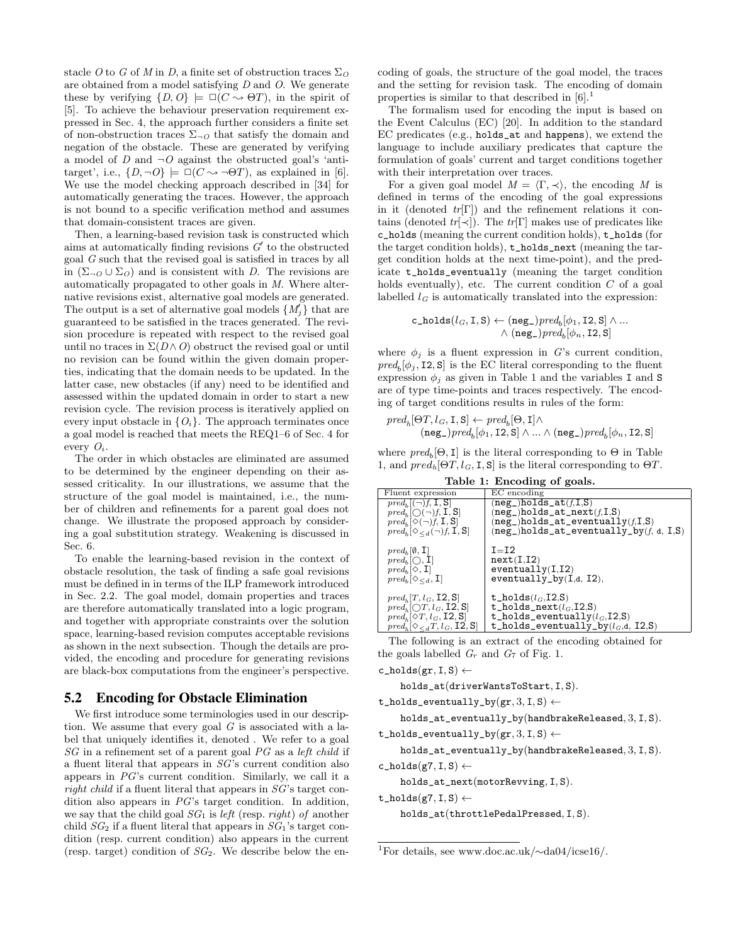stacle O to G of M in D, a finite set of obstruction traces  $\Sigma_o$ are obtained from a model satisfying D and O. We generate these by verifying  $\{D, O\} \models \Box(C \rightsquigarrow \Theta T)$ , in the spirit of [5]. To achieve the behaviour preservation requirement expressed in Sec. 4, the approach further considers a finite set of non-obstruction traces  $\Sigma_{\neg O}$  that satisfy the domain and negation of the obstacle. These are generated by verifying a model of D and  $\neg$ O against the obstructed goal's 'antitarget', i.e.,  $\{D, \neg O\} \models \Box(C \leadsto \neg \Theta T)$ , as explained in [6]. We use the model checking approach described in [34] for automatically generating the traces. However, the approach is not bound to a specific verification method and assumes that domain-consistent traces are given.

Then, a learning-based revision task is constructed which aims at automatically finding revisions  $G'$  to the obstructed goal G such that the revised goal is satisfied in traces by all in  $(\Sigma_{\neg O} \cup \Sigma_O)$  and is consistent with D. The revisions are automatically propagated to other goals in M. Where alternative revisions exist, alternative goal models are generated. The output is a set of alternative goal models  $\{M'_j\}$  that are guaranteed to be satisfied in the traces generated. The revision procedure is repeated with respect to the revised goal until no traces in  $\Sigma(D \wedge O)$  obstruct the revised goal or until no revision can be found within the given domain properties, indicating that the domain needs to be updated. In the latter case, new obstacles (if any) need to be identified and assessed within the updated domain in order to start a new revision cycle. The revision process is iteratively applied on every input obstacle in  $\{O_i\}$ . The approach terminates once a goal model is reached that meets the REQ1–6 of Sec. 4 for every  $O_i$ .

The order in which obstacles are eliminated are assumed to be determined by the engineer depending on their assessed criticality. In our illustrations, we assume that the structure of the goal model is maintained, i.e., the number of children and refinements for a parent goal does not change. We illustrate the proposed approach by considering a goal substitution strategy. Weakening is discussed in Sec. 6.

To enable the learning-based revision in the context of obstacle resolution, the task of finding a safe goal revisions must be defined in in terms of the ILP framework introduced in Sec. 2.2. The goal model, domain properties and traces are therefore automatically translated into a logic program, and together with appropriate constraints over the solution space, learning-based revision computes acceptable revisions as shown in the next subsection. Though the details are provided, the encoding and procedure for generating revisions are black-box computations from the engineer's perspective.

## 5.2 Encoding for Obstacle Elimination

We first introduce some terminologies used in our description. We assume that every goal  $G$  is associated with a label that uniquely identifies it, denoted . We refer to a goal SG in a refinement set of a parent goal PG as a left child if a fluent literal that appears in SG's current condition also appears in PG's current condition. Similarly, we call it a right child if a fluent literal that appears in SG's target condition also appears in PG's target condition. In addition, we say that the child goal  $SG_1$  is *left* (resp. *right*) of another child  $SG_2$  if a fluent literal that appears in  $SG_1$ 's target condition (resp. current condition) also appears in the current (resp. target) condition of  $SG_2$ . We describe below the encoding of goals, the structure of the goal model, the traces and the setting for revision task. The encoding of domain properties is similar to that described in  $[6]$ <sup>1</sup>

The formalism used for encoding the input is based on the Event Calculus (EC) [20]. In addition to the standard EC predicates (e.g., holds\_at and happens), we extend the language to include auxiliary predicates that capture the formulation of goals' current and target conditions together with their interpretation over traces.

For a given goal model  $M = \langle \Gamma, \prec \rangle$ , the encoding M is defined in terms of the encoding of the goal expressions in it (denoted  $tr[\Gamma]$ ) and the refinement relations it contains (denoted  $tr[\prec]$ ). The  $tr[\Gamma]$  makes use of predicates like c\_holds (meaning the current condition holds), t\_holds (for the target condition holds), t\_holds\_next (meaning the target condition holds at the next time-point), and the predicate t\_holds\_eventually (meaning the target condition holds eventually), etc. The current condition  $C$  of a goal labelled  $l_G$  is automatically translated into the expression:

$$
\begin{array}{c} \texttt{c\_holds}(l_G, \texttt{I}, \texttt{S}) \leftarrow (\texttt{neg\_}) \textit{pred}_b[\phi_1, \texttt{I2}, \texttt{S}] \land ... \\ \land \ (\texttt{neg\_}) \textit{pred}_b[\phi_n, \texttt{I2}, \texttt{S}] \end{array}
$$

where  $\phi_j$  is a fluent expression in G's current condition,  $pred_b[\phi_j, \texttt{I2}, \texttt{S}]$  is the EC literal corresponding to the fluent expression  $\phi_i$  as given in Table 1 and the variables I and S are of type time-points and traces respectively. The encoding of target conditions results in rules of the form:

$$
\mathit{pred}_h[\Theta T, l_G, I, S] \leftarrow \mathit{pred}_b[\Theta, I] \wedge \\ (\mathbf{neg\_})\mathit{pred}_b[\phi_1, I2, S] \wedge \ldots \wedge (\mathbf{neg\_})\mathit{pred}_b[\phi_n, I2, S]
$$

where  $\text{pred}_b[\Theta, \mathbf{I}]$  is the literal corresponding to  $\Theta$  in Table 1, and  $pred_h[ $\Theta T, l_G, \mathbf{I}, \mathbf{S}$ ] is the literal corresponding to  $\Theta T$ .$ 

Table 1: Encoding of goals.

| Fluent expression                                              | EC encoding                                                               |
|----------------------------------------------------------------|---------------------------------------------------------------------------|
| $pred_b[(\neg)f, \mathbf{I}, \mathbf{S}]$                      | $(neg_{})$ holds_at $(f, I, S)$                                           |
| $pred_h[\bigcirc(\neg)f, \mathbf{I}, \mathbf{S}]$              | $(neg_{})$ holds_at_next $(f, I, S)$                                      |
| $pred_b[\diamondsuit(\neg)f, I, S]$                            | $(neg_\texttt{\_})$ holds_at_eventually $(f_\texttt{\_},I_\texttt{\_},S)$ |
| $pred_b[\diamondsuit_{< d}(\neg)f, \mathbf{I}, \mathbf{S}]$    | $(neg_{})$ holds_at_eventually_by(f, d, I,S)                              |
| $pred_{b}[\emptyset, \mathbf{I}]$                              | $I = I2$                                                                  |
| $pred_h[\bigcirc, I]$                                          | next(I,I2)                                                                |
| $pred_b[\diamondsuit, I]$                                      | eventually(I, I2)                                                         |
| $pred_b[$ $\Diamond_{\leq d}$ , I                              | $eventually\_by(I, d, I2),$                                               |
| $pred_h[T, l_G, \mathbf{I2}, \mathbf{S}]$                      | t_holds $(l_G, I2, S)$                                                    |
| $pred_b[\bigcirc T, l_G, \mathbf{I2}, \mathbf{S}]$             | t_holds_next $(l_G, I2, S)$                                               |
| $pred_h[\diamond T, l_G, \mathsf{I2}, \mathsf{S}]$             | t_holds_eventually( $l_G$ ,I2,S)                                          |
| $pred_h[\diamondsuit_{\leq d}T, l_G, \textbf{I2}, \textbf{S}]$ | t_holds_eventually_by( $l_G$ ,d, I2,S)                                    |

The following is an extract of the encoding obtained for the goals labelled  $G_r$  and  $G_7$  of Fig. 1.

 $c\_holds(gr, I, S) \leftarrow$ 

holds\_at(driverWantsToStart, I, S).

```
t_holds_eventually_by(gr, 3, I, S) \leftarrow
```
holds\_at\_eventually\_by(handbrakeReleased, 3, I, S).

```
t_holds_eventually_by(gr, 3, I, S) \leftarrow
```
holds\_at\_eventually\_by(handbrakeReleased, 3, I, S).

 $c\_holds(g7, I, S) \leftarrow$ 

holds\_at\_next(motorRevving, I, S).

 $t\_holds(g7, I, S) \leftarrow$ 

holds\_at(throttlePedalPressed, I, S).

<sup>1</sup>For details, see www.doc.ac.uk/∼da04/icse16/.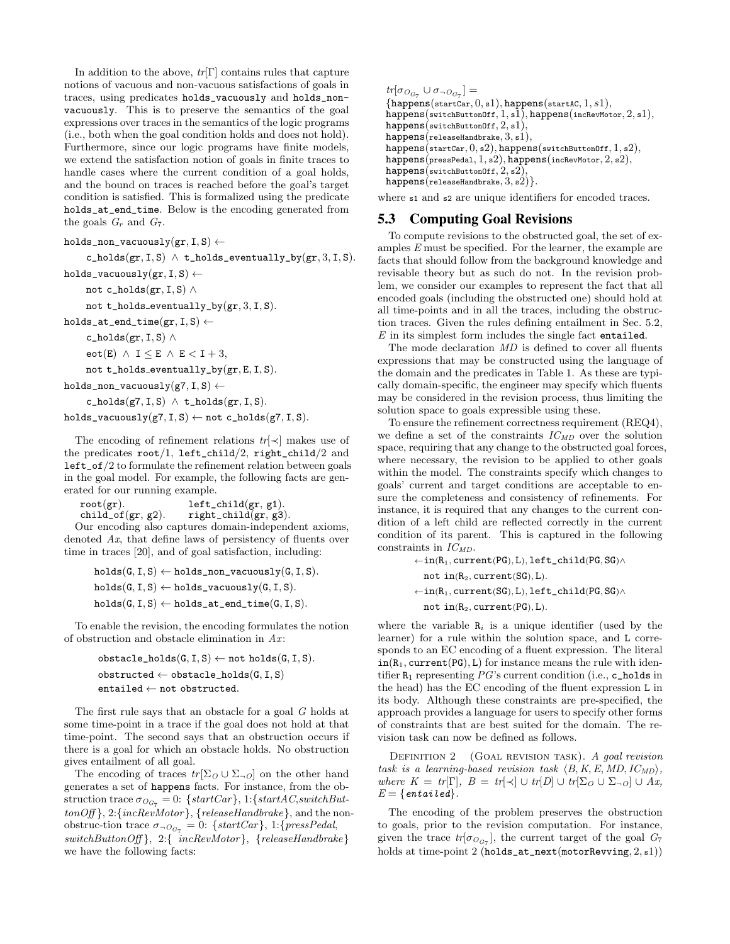In addition to the above,  $tr[\Gamma]$  contains rules that capture notions of vacuous and non-vacuous satisfactions of goals in traces, using predicates holds\_vacuously and holds\_nonvacuously. This is to preserve the semantics of the goal expressions over traces in the semantics of the logic programs (i.e., both when the goal condition holds and does not hold). Furthermore, since our logic programs have finite models, we extend the satisfaction notion of goals in finite traces to handle cases where the current condition of a goal holds, and the bound on traces is reached before the goal's target condition is satisfied. This is formalized using the predicate holds\_at\_end\_time. Below is the encoding generated from the goals  $G_r$  and  $G_7$ .

holds\_non\_vacuously( $gr, I, S$ )  $\leftarrow$ 

c\_holds(gr, I, S)  $\land$  t\_holds\_eventually\_by(gr, 3, I, S).

holds\_vacuously( $gr, I, S$ )  $\leftarrow$ 

not c\_holds( $gr, I, S$ )  $\wedge$ 

not t\_holds\_eventually\_by $(gr, 3, I, S)$ .

 $holds\_at\_end\_time(gr, I, S) \leftarrow$ 

c\_holds( $gr, I, S$ )  $\wedge$ 

 $\mathtt{eot}(E) \wedge I \leq E \wedge E < I + 3$ ,

not  $t_{holds\_eventually_by(gr, E, I, S)$ .

holds\_non\_vacuously( $g7, I, S$ )  $\leftarrow$ 

 $c_{\text{holds}}(g7, I, S) \wedge t_{\text{holds}}(gr, I, S).$ 

holds\_vacuously( $g7, I, S$ )  $\leftarrow$  not c\_holds( $g7, I, S$ ).

The encoding of refinement relations  $tr[\prec]$  makes use of the predicates  $root/1$ , left\_child/2, right\_child/2 and left\_of/2 to formulate the refinement relation between goals in the goal model. For example, the following facts are generated for our running example.

 $root(gr).$  left\_child(gr, g1). child\_of(gr, g2). right\_child(gr, g3).

Our encoding also captures domain-independent axioms, denoted Ax, that define laws of persistency of fluents over time in traces [20], and of goal satisfaction, including:

```
holds(G, I, S) \leftarrow holds\_non\_vacuously(G, I, S).holds(G, I, S) \leftarrow holds\_vacuously(G, I, S).holds(G, I, S) \leftarrow holds\_at\_end\_time(G, I, S).
```
To enable the revision, the encoding formulates the notion of obstruction and obstacle elimination in  $Ax$ :

```
obstackel=holds(G, I, S) \leftarrow not holds(G, I, S).obstructed \leftarrow obstackel_bolds(G, I, S)entailed \leftarrow not obstructed.
```
The first rule says that an obstacle for a goal G holds at some time-point in a trace if the goal does not hold at that time-point. The second says that an obstruction occurs if there is a goal for which an obstacle holds. No obstruction gives entailment of all goal.

The encoding of traces  $tr[\Sigma_O \cup \Sigma_{\neg O}]$  on the other hand generates a set of happens facts. For instance, from the obstruction trace  $\sigma_{O_{G_7}} = 0$ : {startCar}, 1:{startAC,switchButtonOff }, 2: {incRevMotor}, {releaseHandbrake}, and the nonobstruc-tion trace  $\sigma_{\neg O_{G_7}} = 0$ : {startCar}, 1:{pressPedal, switchButtonOff }, 2:{ incRevMotor}, {releaseHandbrake} we have the following facts:

 $tr[\sigma_{O_{G_7}} \cup \sigma_{\neg O_{G_7}}] =$  ${\{\texttt{happens}(\texttt{startCar}, 0, s1), \texttt{happens}(\texttt{startAC}, 1, s1),\}}$ happens(switchButtonOff, 1, s1), happens(incRevMotor, 2, s1), happens(switchButtonOff,  $2$ , s1)  $happens(releaseHandbrake, 3, s1),$ happens(startCar,  $0$ , s2), happens(switchButtonOff, 1, s2), happens( $pres$ PessPedal,  $1, s2$ ), happens(incRevMotor,  $2, s2$ ), happens(switchButtonOff,  $2$ , s2),  $happens(releaseHandbrake, 3, s2)$ .

where  $s1$  and  $s2$  are unique identifiers for encoded traces.

## 5.3 Computing Goal Revisions

To compute revisions to the obstructed goal, the set of examples E must be specified. For the learner, the example are facts that should follow from the background knowledge and revisable theory but as such do not. In the revision problem, we consider our examples to represent the fact that all encoded goals (including the obstructed one) should hold at all time-points and in all the traces, including the obstruction traces. Given the rules defining entailment in Sec. 5.2,  $E$  in its simplest form includes the single fact entailed.

The mode declaration MD is defined to cover all fluents expressions that may be constructed using the language of the domain and the predicates in Table 1. As these are typically domain-specific, the engineer may specify which fluents may be considered in the revision process, thus limiting the solution space to goals expressible using these.

To ensure the refinement correctness requirement (REQ4), we define a set of the constraints  $IC_{MD}$  over the solution space, requiring that any change to the obstructed goal forces, where necessary, the revision to be applied to other goals within the model. The constraints specify which changes to goals' current and target conditions are acceptable to ensure the completeness and consistency of refinements. For instance, it is required that any changes to the current condition of a left child are reflected correctly in the current condition of its parent. This is captured in the following constraints in  $IC_{MD}$ .

$$
\leftarrow \texttt{in(R}_1, \texttt{current(PG)}, L), \texttt{left\_child(PG}, SG) \land \\ \texttt{not in(R}_2, \texttt{current}(SG), L).
$$
\n
$$
\leftarrow \texttt{in(R}_1, \texttt{current}(SG), L), \texttt{left\_child(PG}, SG) \land \\ \texttt{not in(R}_2, \texttt{current}(PG), L).
$$

where the variable  $\mathbb{R}_i$  is a unique identifier (used by the learner) for a rule within the solution space, and L corresponds to an EC encoding of a fluent expression. The literal  $in(R_1, current(PG), L)$  for instance means the rule with identifier  $R_1$  representing  $PG$ 's current condition (i.e., c\_holds in the head) has the EC encoding of the fluent expression L in its body. Although these constraints are pre-specified, the approach provides a language for users to specify other forms of constraints that are best suited for the domain. The revision task can now be defined as follows.

DEFINITION 2 (GOAL REVISION TASK). A goal revision task is a learning-based revision task  $\langle B, K, E, MD, IC_{MD} \rangle$ , where  $K = tr[\Gamma], B = tr[\prec] \cup tr[D] \cup tr[\Sigma_O \cup \Sigma_{\neg O}] \cup Ax,$  $E = \{entailed\}.$ 

The encoding of the problem preserves the obstruction to goals, prior to the revision computation. For instance, given the trace  $tr[\sigma_{O_{G_7}}]$ , the current target of the goal  $G_7$ holds at time-point 2 (holds\_at\_next(motorRevving, 2, s1))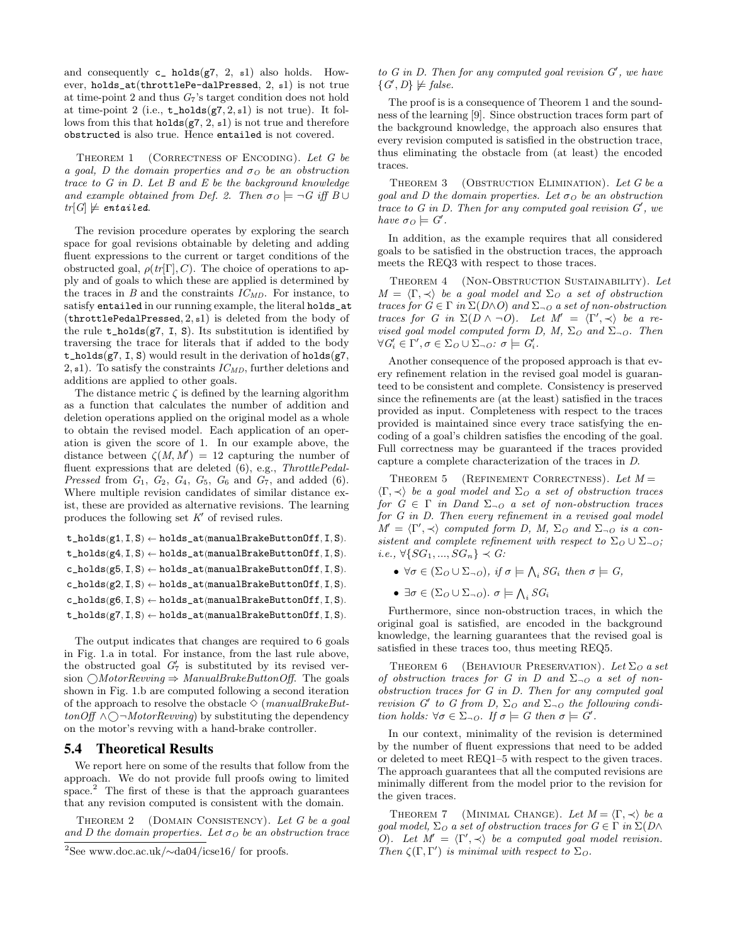and consequently  $c_{-}$  holds( $g7, 2, s1$ ) also holds. However, holds\_at(throttlePe-dalPressed, 2, s1) is not true at time-point 2 and thus G7's target condition does not hold at time-point 2 (i.e.,  $t_{holds}(g7, 2, s1)$  is not true). It follows from this that  $\text{holds}(g7, 2, s1)$  is not true and therefore obstructed is also true. Hence entailed is not covered.

THEOREM 1 (CORRECTNESS OF ENCODING). Let  $G$  be a goal, D the domain properties and  $\sigma_O$  be an obstruction trace to  $G$  in  $D$ . Let  $B$  and  $E$  be the background knowledge and example obtained from Def. 2. Then  $\sigma_O \models \neg G$  iff  $B \cup$  $tr[G] \not\models entailed.$ 

The revision procedure operates by exploring the search space for goal revisions obtainable by deleting and adding fluent expressions to the current or target conditions of the obstructed goal,  $\rho(tr[\Gamma], C)$ . The choice of operations to apply and of goals to which these are applied is determined by the traces in  $B$  and the constraints  $IC_{MD}$ . For instance, to satisfy entailed in our running example, the literal holds\_at (throttlePedalPressed, 2, s1) is deleted from the body of the rule  $t_{holds}(g7, I, S)$ . Its substitution is identified by traversing the trace for literals that if added to the body  $t_{holds}(g7, I, S)$  would result in the derivation of holds $(g7, I, S)$ 2, s1). To satisfy the constraints  $IC_{MD}$ , further deletions and additions are applied to other goals.

The distance metric  $\zeta$  is defined by the learning algorithm as a function that calculates the number of addition and deletion operations applied on the original model as a whole to obtain the revised model. Each application of an operation is given the score of 1. In our example above, the distance between  $\zeta(M, M') = 12$  capturing the number of fluent expressions that are deleted (6), e.g., ThrottlePedal-*Pressed* from  $G_1$ ,  $G_2$ ,  $G_4$ ,  $G_5$ ,  $G_6$  and  $G_7$ , and added (6). Where multiple revision candidates of similar distance exist, these are provided as alternative revisions. The learning produces the following set  $K'$  of revised rules.

| $t_{holds(g1, I, S) \leftarrow holds_at(manualBrakeButtonOff, I, S).$                          |
|------------------------------------------------------------------------------------------------|
| $t\_holds(g4, I, S) \leftarrow holds_at(\text{manualBrakeButtonOff}, I, S).$                   |
| $c_{\text{holds}}(g5, I, S) \leftarrow holds_{\text{att}(\text{manualBrakeButtonOff}, I, S).}$ |
| $c_{\text{holds}}(g2, I, S) \leftarrow holds_{\text{att}}(manualBrakeButtonOff, I, S).$        |
| $\verb c_holds(g6,I,S)  \leftarrow \verb holds_at(manualBrakeButtonOff,I,S) .$                 |
| $t_{holds(g7, I, S) \leftarrow holds_at(manualBrakeButtonOff, I, S).$                          |

The output indicates that changes are required to 6 goals in Fig. 1.a in total. For instance, from the last rule above, the obstructed goal  $G'_{7}$  is substituted by its revised version  $\bigcirc$ *MotorRevving*  $\Rightarrow$  *ManualBrakeButtonOff.* The goals shown in Fig. 1.b are computed following a second iteration of the approach to resolve the obstacle  $\Diamond$  (manualBrakeButtonOff ∧ $\cap \neg \text{MotorRewing}$  by substituting the dependency on the motor's revving with a hand-brake controller.

## 5.4 Theoretical Results

We report here on some of the results that follow from the approach. We do not provide full proofs owing to limited space.<sup>2</sup> The first of these is that the approach guarantees that any revision computed is consistent with the domain.

THEOREM 2 (DOMAIN CONSISTENCY). Let G be a goal and D the domain properties. Let  $\sigma_O$  be an obstruction trace

to  $G$  in  $D$ . Then for any computed goal revision  $G'$ , we have  $\{G', D\} \not\models \text{false}.$ 

The proof is is a consequence of Theorem 1 and the soundness of the learning [9]. Since obstruction traces form part of the background knowledge, the approach also ensures that every revision computed is satisfied in the obstruction trace, thus eliminating the obstacle from (at least) the encoded traces.

THEOREM 3 (OBSTRUCTION ELIMINATION). Let  $G$  be a goal and D the domain properties. Let  $\sigma_O$  be an obstruction trace to  $G$  in  $D$ . Then for any computed goal revision  $G'$ , we have  $\sigma_O \models G'$ .

In addition, as the example requires that all considered goals to be satisfied in the obstruction traces, the approach meets the REQ3 with respect to those traces.

THEOREM 4 (NON-OBSTRUCTION SUSTAINABILITY). Let  $M = \langle \Gamma, \prec \rangle$  be a goal model and  $\Sigma_O$  a set of obstruction traces for  $G \in \Gamma$  in  $\Sigma(D \wedge O)$  and  $\Sigma_{\neg O}$  a set of non-obstruction traces for G in  $\Sigma(D \wedge \neg O)$ . Let  $M' = \langle \Gamma', \prec \rangle$  be a revised goal model computed form D, M,  $\Sigma_O$  and  $\Sigma_{\neg O}$ . Then  $\forall G_i' \in \Gamma', \sigma \in \Sigma_O \cup \Sigma_{\neg O} : \sigma \models G_i'.$ 

Another consequence of the proposed approach is that every refinement relation in the revised goal model is guaranteed to be consistent and complete. Consistency is preserved since the refinements are (at the least) satisfied in the traces provided as input. Completeness with respect to the traces provided is maintained since every trace satisfying the encoding of a goal's children satisfies the encoding of the goal. Full correctness may be guaranteed if the traces provided capture a complete characterization of the traces in D.

THEOREM 5 (REFINEMENT CORRECTNESS). Let  $M =$  $\langle \Gamma, \prec \rangle$  be a goal model and  $\Sigma_O$  a set of obstruction traces for  $G \in \Gamma$  in Dand  $\Sigma_{\neg O}$  a set of non-obstruction traces for G in D. Then every refinement in a revised goal model  $M' = \langle \Gamma', \prec \rangle$  computed form D, M,  $\Sigma_O$  and  $\Sigma_{\neg O}$  is a consistent and complete refinement with respect to  $\Sigma_O \cup \Sigma_{\neg O}$ ; *i.e.*,  $\forall \{SG_1, ..., SG_n\} \prec G$ :

- $\forall \sigma \in (\Sigma_O \cup \Sigma_{\neg O}), \text{ if } \sigma \models \bigwedge_i SG_i \text{ then } \sigma \models G,$
- $\bullet\;\exists\sigma\in(\Sigma_{O}\cup\Sigma_{\neg O}).\;\sigma\models\bigwedge_{i}SG_{i}$

Furthermore, since non-obstruction traces, in which the original goal is satisfied, are encoded in the background knowledge, the learning guarantees that the revised goal is satisfied in these traces too, thus meeting REQ5.

THEOREM 6 (BEHAVIOUR PRESERVATION). Let  $\Sigma_O$  a set of obstruction traces for G in D and  $\Sigma_{\neg O}$  a set of nonobstruction traces for G in D. Then for any computed goal revision G' to G from D,  $\Sigma_O$  and  $\Sigma_{\neg O}$  the following condition holds:  $\forall \sigma \in \Sigma_{\neg O}$ . If  $\sigma \models G$  then  $\sigma \models G'$ .

In our context, minimality of the revision is determined by the number of fluent expressions that need to be added or deleted to meet REQ1–5 with respect to the given traces. The approach guarantees that all the computed revisions are minimally different from the model prior to the revision for the given traces.

THEOREM 7 (MINIMAL CHANGE). Let  $M = \langle \Gamma, \prec \rangle$  be a goal model,  $\Sigma_O$  a set of obstruction traces for  $G \in \Gamma$  in  $\Sigma(D \wedge$ O). Let  $M' = \langle \Gamma', \prec \rangle$  be a computed goal model revision. Then  $\zeta(\Gamma,\Gamma')$  is minimal with respect to  $\Sigma_O$ .

<sup>2</sup>See www.doc.ac.uk/∼da04/icse16/ for proofs.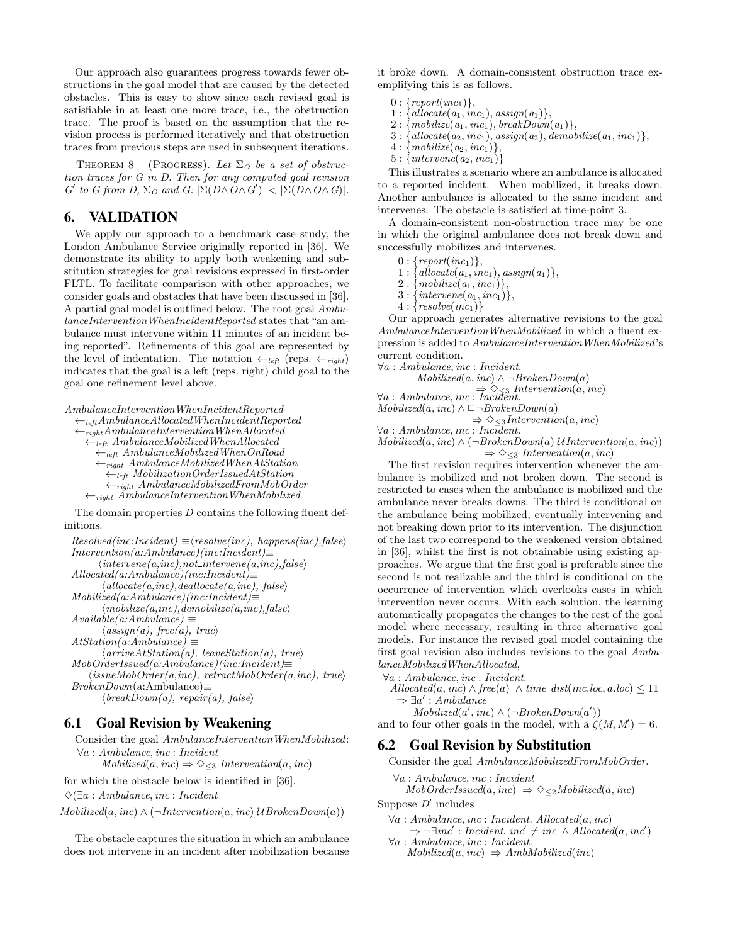Our approach also guarantees progress towards fewer obstructions in the goal model that are caused by the detected obstacles. This is easy to show since each revised goal is satisfiable in at least one more trace, i.e., the obstruction trace. The proof is based on the assumption that the revision process is performed iteratively and that obstruction traces from previous steps are used in subsequent iterations.

THEOREM 8 (PROGRESS). Let  $\Sigma_O$  be a set of obstruction traces for G in D. Then for any computed goal revision  $G'$  to G from D,  $\Sigma_O$  and  $G: |\Sigma(D \wedge O \wedge G')| < |\Sigma(D \wedge O \wedge G)|$ .

# 6. VALIDATION

We apply our approach to a benchmark case study, the London Ambulance Service originally reported in [36]. We demonstrate its ability to apply both weakening and substitution strategies for goal revisions expressed in first-order FLTL. To facilitate comparison with other approaches, we consider goals and obstacles that have been discussed in [36]. A partial goal model is outlined below. The root goal AmbulanceInterventionWhenIncidentReported states that "an ambulance must intervene within 11 minutes of an incident being reported". Refinements of this goal are represented by the level of indentation. The notation  $\leftarrow_{left}$  (reps.  $\leftarrow_{right}$ ) indicates that the goal is a left (reps. right) child goal to the goal one refinement level above.

```
AmbulanceInterventionWhenIncidentReported
\leftarrow<sub>left</sub>AmbulanceAllocatedWhenIncidentReported
\leftarrow<sub>right</sub>AmbulanceInterventionWhenAllocated
   \leftarrow<sub>left</sub> AmbulanceMobilizedWhenAllocated</sub>
      \leftarrow<sub>left</sub> AmbulanceMobilizedWhenOnRoad
      \leftarrow_{right} AmbulanceMobilizedWhenAtStation
         \leftarrow<sub>left</sub> MobilizationOrderIssuedAtStation</sub>
         \leftarrow_{right} AmbulanceMobilizedFromMobOrder
   \leftarrow_{right} AmbulanceInterventionWhenMobilized
```
The domain properties  $D$  contains the following fluent definitions.

```
Resolved(inc:Incident) \equiv \langle resolve(inc), happens(inc),false \rangleIntervention(a:Ambulance)(inc:Incident)≡
     \langleintervene(a,inc),not_intervene(a,inc),false\rangleAllocated(a:Ambulance)(inc:Incident)≡
      \langleallocate(a,inc),deallocate(a,inc), false\rangleMobilized(a:Ambulance)(inc:Incident) \equiv\langle \hat{m} \rangle_{i}inc\langle \hat{m} \rangle_{i}demobilize\langle a, \hat{m} \rangle_{i}false\rangleAvailable(a:Ambulance) \equiv\langle assign(a), free(a), true \rangleAtStation(a:Ambulance) \equiv\langlearriveAtStation(a), leaveStation(a), true\rangleMobOrderIssued(a:Ambulance)(inc:Incident)≡
   \langle issueMobOrder(a,inc),\ retractMobOrder(a,inc),\ true \rangleBrokenDown(a:Ambulance)≡
      \langle breakDown(a), repair(a), false \rangle
```
# 6.1 Goal Revision by Weakening

Consider the goal AmbulanceInterventionWhenMobilized: ∀a : Ambulance, inc : Incident  $Mobilized(a, inc) \Rightarrow \Diamond_{\leq 3} \text{}\text{}\}$ 

for which the obstacle below is identified in [36].

 $\Diamond$ ( $\exists$ a : Ambulance, inc : Incident

 $Mobilized(a, inc) \wedge (\neg\text{Intervention}(a, inc) \vee \text{BrokenDown}(a))$ 

The obstacle captures the situation in which an ambulance does not intervene in an incident after mobilization because it broke down. A domain-consistent obstruction trace exemplifying this is as follows.

```
0: \{report(inc_1)\},\
```
- $1: \{ \text{alloc}(a_1, \text{inc}_1), \text{assign}(a_1) \},$
- $2: \{mobileize(a_1, inc_1), breakDown(a_1)\},\$
- $3: \{ \text{alloc}(a_2, \text{inc}_1), \text{assign}(a_2), \text{dem} \text{obilize}(a_1, \text{inc}_1) \},$
- $4: \{mobileize(a_2, inc_1)\}$
- $5: \{intervene(a_2, inc_1)\}$

This illustrates a scenario where an ambulance is allocated to a reported incident. When mobilized, it breaks down. Another ambulance is allocated to the same incident and intervenes. The obstacle is satisfied at time-point 3.

A domain-consistent non-obstruction trace may be one in which the original ambulance does not break down and successfully mobilizes and intervenes.

- $0:$  {report(inc<sub>1</sub>)},
- $1: \{ \text{alloc}(a_1, \text{inc}_1), \text{assign}(a_1) \},\$
- $2: \{mobileize(a_1, inc_1)\},\$
- $3: \{intervene(a_1, inc_1)\},$
- $4: \{ resolve(inc_1)\}$

Our approach generates alternative revisions to the goal AmbulanceInterventionWhenMobilized in which a fluent expression is added to AmbulanceInterventionWhenMobilized's current condition.

∀a : Ambulance, inc : Incident.

 $Mobilized(a, inc) \wedge \neg BrokenDown(a)$  $\forall a : Ambulance, inc : Inci\overline{d}ent.$ Mobilized(a, inc)  $\land \Box \neg$ Broken Down( $\alpha$ )

$$
\Rightarrow \diamond_{\leq 3} Intervention(a, inc)
$$

 $\forall a : Ambulance, inc : Inc-$ 

 $Mobilized(a, inc) \wedge (\neg BrokenDown(a) \;UIntervention(a, inc))$  $\Rightarrow \Diamond_{\leq 3}$  Intervention(a, inc)

The first revision requires intervention whenever the ambulance is mobilized and not broken down. The second is restricted to cases when the ambulance is mobilized and the ambulance never breaks downs. The third is conditional on the ambulance being mobilized, eventually intervening and not breaking down prior to its intervention. The disjunction of the last two correspond to the weakened version obtained in [36], whilst the first is not obtainable using existing approaches. We argue that the first goal is preferable since the second is not realizable and the third is conditional on the occurrence of intervention which overlooks cases in which intervention never occurs. With each solution, the learning automatically propagates the changes to the rest of the goal model where necessary, resulting in three alternative goal models. For instance the revised goal model containing the first goal revision also includes revisions to the goal AmbulanceMobilizedWhenAllocated,

```
∀a : Ambulance, inc : Incident.
```
 $\text{Allocated}(a, inc) \wedge \text{free}(a) \wedge \text{time\_dist}(inc.loc, a.loc) \leq 11$  $\Rightarrow \exists a': Ambulance$ 

 $Mobilized(a', inc) \wedge (\neg BrokenDown(a'))$ and to four other goals in the model, with a  $\zeta(M, M') = 6$ .

# 6.2 Goal Revision by Substitution

Consider the goal AmbulanceMobilizedFromMobOrder.

∀a : Ambulance, inc : Incident

 $\text{MobOrder}$ *Issued*(a, inc)  $\Rightarrow \Diamond_{\leq 2}$ *Mobilized*(a, inc)

Suppose  $D'$  includes

 $\forall a : Ambulance, inc : Incident. \ Allocated(a, inc)$ 

 $\Rightarrow \neg \exists inc' : Incident. inc' \neq inc \land \text{Allocated}(a, inc')$ ∀a : Ambulance, inc : Incident.

 $Mobilized(a, inc) \Rightarrow AmbMobilized(inc)$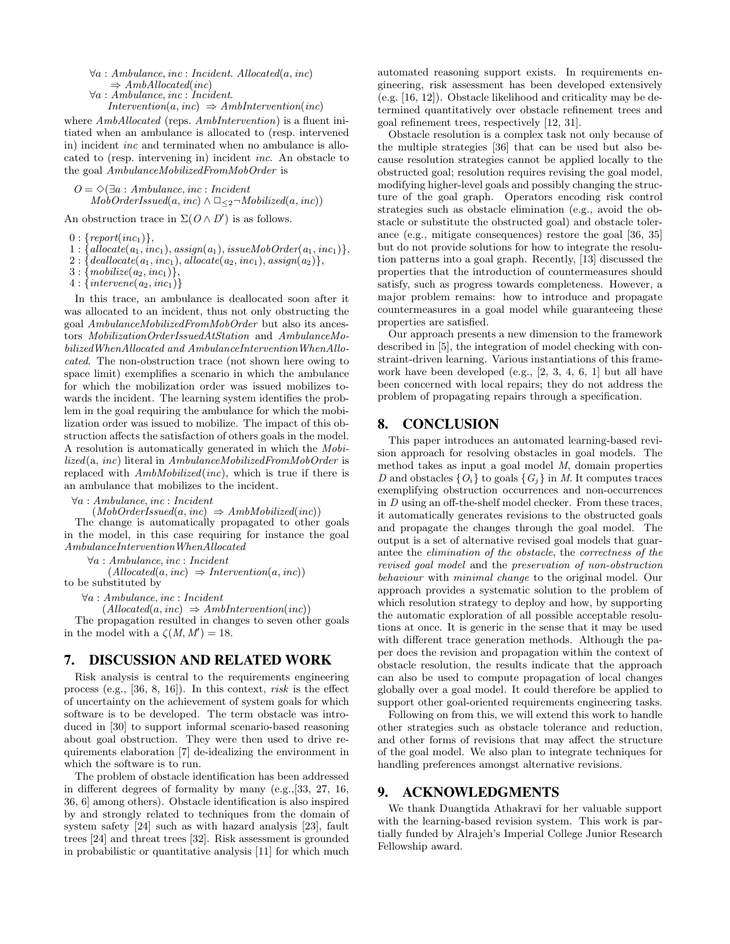$\forall a : Ambulance, inc : Incident. \iAllocated(a, inc)$  $\Rightarrow$  AmbAllocated(inc)

∀a : Ambulance, inc : Incident.

 $Intervention(a, inc) \Rightarrow AmbIntervention(inc)$ 

where AmbAllocated (reps. AmbIntervention) is a fluent initiated when an ambulance is allocated to (resp. intervened in) incident inc and terminated when no ambulance is allocated to (resp. intervening in) incident inc. An obstacle to the goal AmbulanceMobilizedFromMobOrder is

 $O = \diamondsuit(\exists a : Ambalance, inc : Incident)$  $MobOrderIssued(a, inc) \wedge \Box_{\leq 2} \neg Mobile(a, inc)$ 

An obstruction trace in  $\Sigma$ ( $O \wedge D'$ ) is as follows.

 $0: \{report(inc_1)\},\$ 

 $1 : \{ \text{allocate}(a_1, \text{inc}_1), \text{assign}(a_1), \text{issueMobOrder}(a_1, \text{inc}_1) \},$ 

 $2: \{ deal locate(a_1, inc_1), allocate(a_2, inc_1), assign(a_2)\},\$ 

 $3: \{mobileize(a_2, inc_1)\},\$ 

 $4: \{intervene(a_2, inc_1)\}$ 

In this trace, an ambulance is deallocated soon after it was allocated to an incident, thus not only obstructing the goal AmbulanceMobilizedFromMobOrder but also its ancestors MobilizationOrderIssuedAtStation and AmbulanceMobilizedWhenAllocated and AmbulanceInterventionWhenAllocated. The non-obstruction trace (not shown here owing to space limit) exemplifies a scenario in which the ambulance for which the mobilization order was issued mobilizes towards the incident. The learning system identifies the problem in the goal requiring the ambulance for which the mobilization order was issued to mobilize. The impact of this obstruction affects the satisfaction of others goals in the model. A resolution is automatically generated in which the Mobilized(a, inc) literal in AmbulanceMobilizedFromMobOrder is replaced with AmbMobilized(inc), which is true if there is an ambulance that mobilizes to the incident.

∀a : Ambulance, inc : Incident

 $(MobOrderIssued(a, inc) \Rightarrow AmbMobilized(inc))$ 

The change is automatically propagated to other goals in the model, in this case requiring for instance the goal AmbulanceInterventionWhenAllocated

∀a : Ambulance, inc : Incident

 $(Allocated(a, inc) \Rightarrow Interpretion(a, inc))$ to be substituted by

∀a : Ambulance, inc : Incident

 $(Allocated(a, inc) \Rightarrow AmbInteraction(inc))$ The propagation resulted in changes to seven other goals in the model with a  $\zeta(M, M') = 18$ .

## 7. DISCUSSION AND RELATED WORK

Risk analysis is central to the requirements engineering process (e.g.,  $[36, 8, 16]$ ). In this context, risk is the effect of uncertainty on the achievement of system goals for which software is to be developed. The term obstacle was introduced in [30] to support informal scenario-based reasoning about goal obstruction. They were then used to drive requirements elaboration [7] de-idealizing the environment in which the software is to run.

The problem of obstacle identification has been addressed in different degrees of formality by many (e.g.,[33, 27, 16, 36, 6] among others). Obstacle identification is also inspired by and strongly related to techniques from the domain of system safety [24] such as with hazard analysis [23], fault trees [24] and threat trees [32]. Risk assessment is grounded in probabilistic or quantitative analysis [11] for which much automated reasoning support exists. In requirements engineering, risk assessment has been developed extensively (e.g. [16, 12]). Obstacle likelihood and criticality may be determined quantitatively over obstacle refinement trees and goal refinement trees, respectively [12, 31].

Obstacle resolution is a complex task not only because of the multiple strategies [36] that can be used but also because resolution strategies cannot be applied locally to the obstructed goal; resolution requires revising the goal model, modifying higher-level goals and possibly changing the structure of the goal graph. Operators encoding risk control strategies such as obstacle elimination (e.g., avoid the obstacle or substitute the obstructed goal) and obstacle tolerance (e.g., mitigate consequences) restore the goal [36, 35] but do not provide solutions for how to integrate the resolution patterns into a goal graph. Recently, [13] discussed the properties that the introduction of countermeasures should satisfy, such as progress towards completeness. However, a major problem remains: how to introduce and propagate countermeasures in a goal model while guaranteeing these properties are satisfied.

Our approach presents a new dimension to the framework described in [5], the integration of model checking with constraint-driven learning. Various instantiations of this framework have been developed (e.g., [2, 3, 4, 6, 1] but all have been concerned with local repairs; they do not address the problem of propagating repairs through a specification.

# 8. CONCLUSION

This paper introduces an automated learning-based revision approach for resolving obstacles in goal models. The method takes as input a goal model M, domain properties D and obstacles  $\{O_i\}$  to goals  $\{G_i\}$  in M. It computes traces exemplifying obstruction occurrences and non-occurrences in D using an off-the-shelf model checker. From these traces, it automatically generates revisions to the obstructed goals and propagate the changes through the goal model. The output is a set of alternative revised goal models that guarantee the elimination of the obstacle, the correctness of the revised goal model and the preservation of non-obstruction behaviour with minimal change to the original model. Our approach provides a systematic solution to the problem of which resolution strategy to deploy and how, by supporting the automatic exploration of all possible acceptable resolutions at once. It is generic in the sense that it may be used with different trace generation methods. Although the paper does the revision and propagation within the context of obstacle resolution, the results indicate that the approach can also be used to compute propagation of local changes globally over a goal model. It could therefore be applied to support other goal-oriented requirements engineering tasks.

Following on from this, we will extend this work to handle other strategies such as obstacle tolerance and reduction, and other forms of revisions that may affect the structure of the goal model. We also plan to integrate techniques for handling preferences amongst alternative revisions.

# 9. ACKNOWLEDGMENTS

We thank Duangtida Athakravi for her valuable support with the learning-based revision system. This work is partially funded by Alrajeh's Imperial College Junior Research Fellowship award.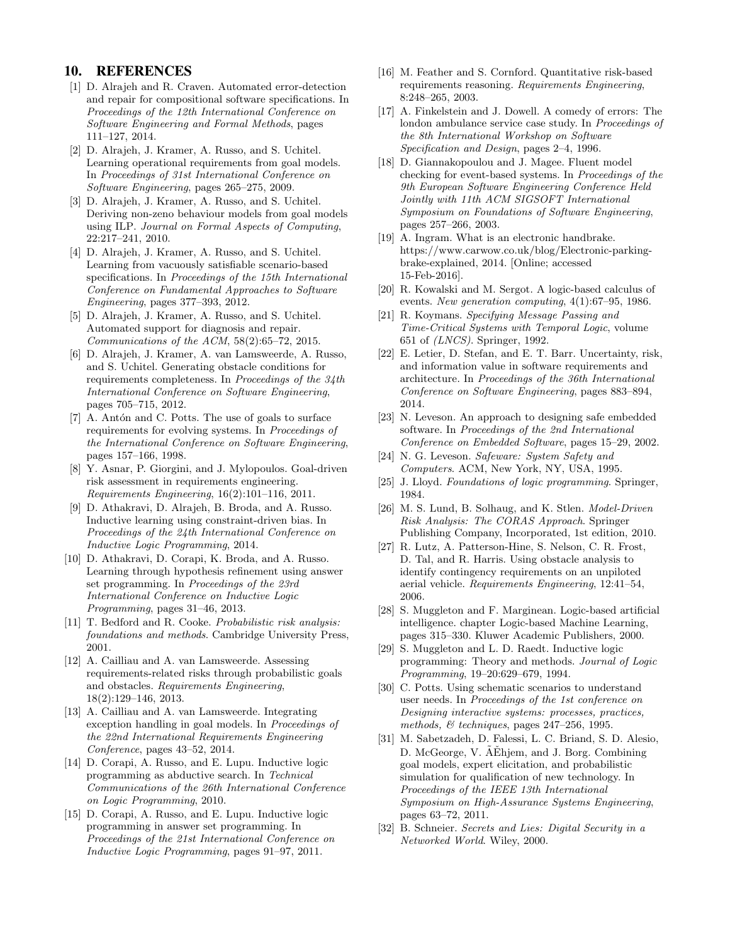# 10. REFERENCES

- [1] D. Alrajeh and R. Craven. Automated error-detection and repair for compositional software specifications. In Proceedings of the 12th International Conference on Software Engineering and Formal Methods, pages 111–127, 2014.
- [2] D. Alrajeh, J. Kramer, A. Russo, and S. Uchitel. Learning operational requirements from goal models. In Proceedings of 31st International Conference on Software Engineering, pages 265–275, 2009.
- [3] D. Alrajeh, J. Kramer, A. Russo, and S. Uchitel. Deriving non-zeno behaviour models from goal models using ILP. Journal on Formal Aspects of Computing, 22:217–241, 2010.
- [4] D. Alrajeh, J. Kramer, A. Russo, and S. Uchitel. Learning from vacuously satisfiable scenario-based specifications. In Proceedings of the 15th International Conference on Fundamental Approaches to Software Engineering, pages 377–393, 2012.
- [5] D. Alrajeh, J. Kramer, A. Russo, and S. Uchitel. Automated support for diagnosis and repair. Communications of the ACM, 58(2):65–72, 2015.
- [6] D. Alrajeh, J. Kramer, A. van Lamsweerde, A. Russo, and S. Uchitel. Generating obstacle conditions for requirements completeness. In Proceedings of the 34th International Conference on Software Engineering, pages 705–715, 2012.
- [7] A. Antón and C. Potts. The use of goals to surface requirements for evolving systems. In Proceedings of the International Conference on Software Engineering, pages 157–166, 1998.
- [8] Y. Asnar, P. Giorgini, and J. Mylopoulos. Goal-driven risk assessment in requirements engineering. Requirements Engineering, 16(2):101–116, 2011.
- [9] D. Athakravi, D. Alrajeh, B. Broda, and A. Russo. Inductive learning using constraint-driven bias. In Proceedings of the 24th International Conference on Inductive Logic Programming, 2014.
- [10] D. Athakravi, D. Corapi, K. Broda, and A. Russo. Learning through hypothesis refinement using answer set programming. In Proceedings of the 23rd International Conference on Inductive Logic Programming, pages 31–46, 2013.
- [11] T. Bedford and R. Cooke. Probabilistic risk analysis: foundations and methods. Cambridge University Press, 2001.
- [12] A. Cailliau and A. van Lamsweerde. Assessing requirements-related risks through probabilistic goals and obstacles. Requirements Engineering, 18(2):129–146, 2013.
- [13] A. Cailliau and A. van Lamsweerde. Integrating exception handling in goal models. In Proceedings of the 22nd International Requirements Engineering Conference, pages 43–52, 2014.
- [14] D. Corapi, A. Russo, and E. Lupu. Inductive logic programming as abductive search. In Technical Communications of the 26th International Conference on Logic Programming, 2010.
- [15] D. Corapi, A. Russo, and E. Lupu. Inductive logic programming in answer set programming. In Proceedings of the 21st International Conference on Inductive Logic Programming, pages 91–97, 2011.
- [16] M. Feather and S. Cornford. Quantitative risk-based requirements reasoning. Requirements Engineering, 8:248–265, 2003.
- [17] A. Finkelstein and J. Dowell. A comedy of errors: The london ambulance service case study. In Proceedings of the 8th International Workshop on Software Specification and Design, pages 2–4, 1996.
- [18] D. Giannakopoulou and J. Magee. Fluent model checking for event-based systems. In Proceedings of the 9th European Software Engineering Conference Held Jointly with 11th ACM SIGSOFT International Symposium on Foundations of Software Engineering, pages 257–266, 2003.
- [19] A. Ingram. What is an electronic handbrake. https://www.carwow.co.uk/blog/Electronic-parkingbrake-explained, 2014. [Online; accessed 15-Feb-2016].
- [20] R. Kowalski and M. Sergot. A logic-based calculus of events. New generation computing, 4(1):67–95, 1986.
- [21] R. Koymans. Specifying Message Passing and Time-Critical Systems with Temporal Logic, volume 651 of (LNCS). Springer, 1992.
- [22] E. Letier, D. Stefan, and E. T. Barr. Uncertainty, risk, and information value in software requirements and architecture. In Proceedings of the 36th International Conference on Software Engineering, pages 883–894, 2014.
- [23] N. Leveson. An approach to designing safe embedded software. In Proceedings of the 2nd International Conference on Embedded Software, pages 15–29, 2002.
- [24] N. G. Leveson. Safeware: System Safety and Computers. ACM, New York, NY, USA, 1995.
- [25] J. Lloyd. Foundations of logic programming. Springer, 1984.
- [26] M. S. Lund, B. Solhaug, and K. Stlen. *Model-Driven* Risk Analysis: The CORAS Approach. Springer Publishing Company, Incorporated, 1st edition, 2010.
- [27] R. Lutz, A. Patterson-Hine, S. Nelson, C. R. Frost, D. Tal, and R. Harris. Using obstacle analysis to identify contingency requirements on an unpiloted aerial vehicle. Requirements Engineering, 12:41–54, 2006.
- [28] S. Muggleton and F. Marginean. Logic-based artificial intelligence. chapter Logic-based Machine Learning, pages 315–330. Kluwer Academic Publishers, 2000.
- [29] S. Muggleton and L. D. Raedt. Inductive logic programming: Theory and methods. Journal of Logic Programming, 19–20:629–679, 1994.
- [30] C. Potts. Using schematic scenarios to understand user needs. In Proceedings of the 1st conference on Designing interactive systems: processes, practices, methods, & techniques, pages 247–256, 1995.
- [31] M. Sabetzadeh, D. Falessi, L. C. Briand, S. D. Alesio, D. McGeorge, V. AĚhjem, and J. Borg. Combining goal models, expert elicitation, and probabilistic simulation for qualification of new technology. In Proceedings of the IEEE 13th International Symposium on High-Assurance Systems Engineering, pages 63–72, 2011.
- [32] B. Schneier. Secrets and Lies: Digital Security in a Networked World. Wiley, 2000.